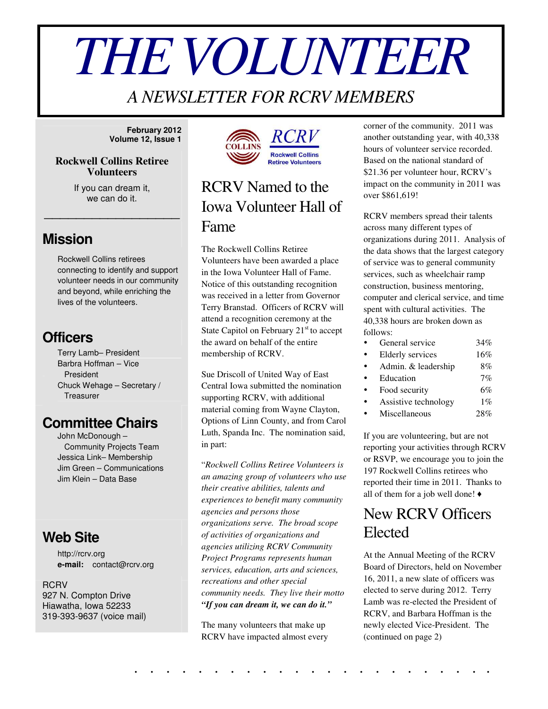# *THEVOLUNTEER*

# *A NEWSLETTER FOR RCRV MEMBERS*

**February 2012 Volume 12, Issue 1**

#### **Rockwell Collins Retiree Volunteers**

If you can dream it, we can do it.

\_\_\_\_\_\_\_\_\_\_\_\_\_\_\_\_\_

### **Mission**

Rockwell Collins retirees connecting to identify and support volunteer needs in our community and beyond, while enriching the lives of the volunteers.

## **Officers**

Terry Lamb– President Barbra Hoffman – Vice President Chuck Wehage – Secretary / **Treasurer** 

## **Committee Chairs**

John McDonough – Community Projects Team Jessica Link– Membership Jim Green – Communications Jim Klein – Data Base

## **Web Site**

http://rcrv.org **e-mail:** contact@rcrv.org

**RCRV** 927 N. Compton Drive Hiawatha, Iowa 52233 319-393-9637 (voice mail)



# RCRV Named to the Iowa Volunteer Hall of Fame

The Rockwell Collins Retiree Volunteers have been awarded a place in the Iowa Volunteer Hall of Fame. Notice of this outstanding recognition was received in a letter from Governor Terry Branstad. Officers of RCRV will attend a recognition ceremony at the State Capitol on February 21<sup>st</sup> to accept the award on behalf of the entire membership of RCRV.

Sue Driscoll of United Way of East Central Iowa submitted the nomination supporting RCRV, with additional material coming from Wayne Clayton, Options of Linn County, and from Carol Luth, Spanda Inc. The nomination said, in part:

"*Rockwell Collins Retiree Volunteers is an amazing group of volunteers who use their creative abilities, talents and experiences to benefit many community agencies and persons those organizations serve. The broad scope of activities of organizations and agencies utilizing RCRV Community Project Programs represents human services, education, arts and sciences, recreations and other special community needs. They live their motto "If you can dream it, we can do it."*

The many volunteers that make up RCRV have impacted almost every corner of the community. 2011 was another outstanding year, with 40,338 hours of volunteer service recorded. Based on the national standard of \$21.36 per volunteer hour, RCRV's impact on the community in 2011 was over \$861,619!

RCRV members spread their talents across many different types of organizations during 2011. Analysis of the data shows that the largest category of service was to general community services, such as wheelchair ramp construction, business mentoring, computer and clerical service, and time spent with cultural activities. The 40,338 hours are broken down as follows:

| $\bullet$ | General service         | 34%   |
|-----------|-------------------------|-------|
| $\bullet$ | <b>Elderly services</b> | 16%   |
| $\bullet$ | Admin. & leadership     | 8%    |
| $\bullet$ | Education               | 7%    |
| $\bullet$ | Food security           | 6%    |
| $\bullet$ | Assistive technology    | $1\%$ |
|           | Miscellaneous           | 28%   |

If you are volunteering, but are not reporting your activities through RCRV or RSVP, we encourage you to join the 197 Rockwell Collins retirees who reported their time in 2011. Thanks to all of them for a job well done!  $\triangleleft$ 

## New RCRV Officers Elected

At the Annual Meeting of the RCRV Board of Directors, held on November 16, 2011, a new slate of officers was elected to serve during 2012. Terry Lamb was re-elected the President of RCRV, and Barbara Hoffman is the newly elected Vice-President. The (continued on page 2)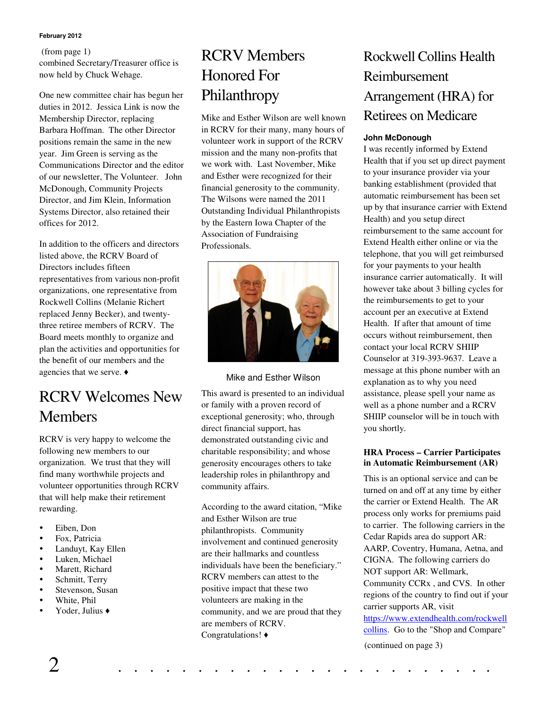#### **February 2012**

#### (from page 1)

combined Secretary/Treasurer office is now held by Chuck Wehage.

One new committee chair has begun her duties in 2012. Jessica Link is now the Membership Director, replacing Barbara Hoffman. The other Director positions remain the same in the new year. Jim Green is serving as the Communications Director and the editor of our newsletter, The Volunteer. John McDonough, Community Projects Director, and Jim Klein, Information Systems Director, also retained their offices for 2012.

In addition to the officers and directors listed above, the RCRV Board of Directors includes fifteen representatives from various non-profit organizations, one representative from Rockwell Collins (Melanie Richert replaced Jenny Becker), and twentythree retiree members of RCRV. The Board meets monthly to organize and plan the activities and opportunities for the benefit of our members and the agencies that we serve.

# RCRV Welcomes New **Members**

RCRV is very happy to welcome the following new members to our organization. We trust that they will find many worthwhile projects and volunteer opportunities through RCRV that will help make their retirement rewarding.

- Eiben, Don
- Fox, Patricia
- Landuyt, Kay Ellen
- Luken, Michael
- Marett, Richard
- Schmitt, Terry
- Stevenson, Susan
- White, Phil
- Yoder, Julius

# RCRV Members Honored For Philanthropy

Mike and Esther Wilson are well known in RCRV for their many, many hours of volunteer work in support of the RCRV mission and the many non-profits that we work with. Last November, Mike and Esther were recognized for their financial generosity to the community. The Wilsons were named the 2011 Outstanding Individual Philanthropists by the Eastern Iowa Chapter of the Association of Fundraising Professionals.



#### Mike and Esther Wilson

This award is presented to an individual or family with a proven record of exceptional generosity; who, through direct financial support, has demonstrated outstanding civic and charitable responsibility; and whose generosity encourages others to take leadership roles in philanthropy and community affairs.

According to the award citation, "Mike and Esther Wilson are true philanthropists. Community involvement and continued generosity are their hallmarks and countless individuals have been the beneficiary." RCRV members can attest to the positive impact that these two volunteers are making in the community, and we are proud that they are members of RCRV. Congratulations!

## Rockwell Collins Health Reimbursement Arrangement (HRA) for Retirees on Medicare

#### **John McDonough**

I was recently informed by Extend Health that if you set up direct payment to your insurance provider via your banking establishment (provided that automatic reimbursement has been set up by that insurance carrier with Extend Health) and you setup direct reimbursement to the same account for Extend Health either online or via the telephone, that you will get reimbursed for your payments to your health insurance carrier automatically. It will however take about 3 billing cycles for the reimbursements to get to your account per an executive at Extend Health. If after that amount of time occurs without reimbursement, then contact your local RCRV SHIIP Counselor at 319-393-9637. Leave a message at this phone number with an explanation as to why you need assistance, please spell your name as well as a phone number and a RCRV SHIIP counselor will be in touch with you shortly.

#### **HRA Process – Carrier Participates in Automatic Reimbursement (AR)**

This is an optional service and can be turned on and off at any time by either the carrier or Extend Health. The AR process only works for premiums paid to carrier. The following carriers in the Cedar Rapids area do support AR: AARP, Coventry, Humana, Aetna, and CIGNA. The following carriers do NOT support AR: Wellmark, Community CCRx , and CVS. In other regions of the country to find out if your carrier supports AR, visit https://www.extendhealth.com/rockwell collins. Go to the "Shop and Compare" (continued on page 3)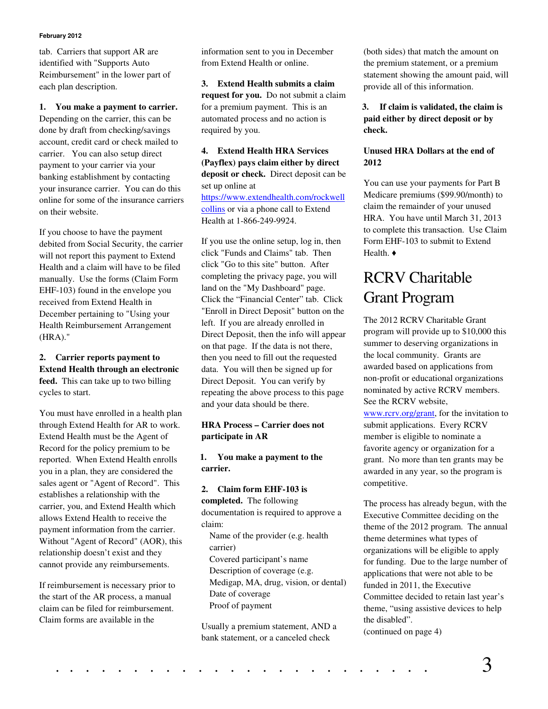#### **February 2012**

tab. Carriers that support AR are identified with "Supports Auto Reimbursement" in the lower part of each plan description.

**1. You make a payment to carrier.** Depending on the carrier, this can be done by draft from checking/savings account, credit card or check mailed to carrier. You can also setup direct payment to your carrier via your banking establishment by contacting your insurance carrier. You can do this online for some of the insurance carriers on their website.

If you choose to have the payment debited from Social Security, the carrier will not report this payment to Extend Health and a claim will have to be filed manually. Use the forms (Claim Form EHF-103) found in the envelope you received from Extend Health in December pertaining to "Using your Health Reimbursement Arrangement (HRA)."

#### **2. Carrier reports payment to Extend Health through an electronic feed.** This can take up to two billing cycles to start.

You must have enrolled in a health plan through Extend Health for AR to work. Extend Health must be the Agent of Record for the policy premium to be reported. When Extend Health enrolls you in a plan, they are considered the sales agent or "Agent of Record". This establishes a relationship with the carrier, you, and Extend Health which allows Extend Health to receive the payment information from the carrier. Without "Agent of Record" (AOR), this relationship doesn't exist and they cannot provide any reimbursements.

If reimbursement is necessary prior to the start of the AR process, a manual claim can be filed for reimbursement. Claim forms are available in the

information sent to you in December from Extend Health or online.

**3. Extend Health submits a claim request for you.** Do not submit a claim for a premium payment. This is an automated process and no action is required by you.

**4. Extend Health HRA Services (Payflex) pays claim either by direct deposit or check.** Direct deposit can be set up online at https://www.extendhealth.com/rockwell collins or via a phone call to Extend Health at 1-866-249-9924.

If you use the online setup, log in, then click "Funds and Claims" tab. Then click "Go to this site" button. After completing the privacy page, you will land on the "My Dashboard" page. Click the "Financial Center" tab. Click "Enroll in Direct Deposit" button on the left. If you are already enrolled in Direct Deposit, then the info will appear on that page. If the data is not there, then you need to fill out the requested data. You will then be signed up for Direct Deposit. You can verify by repeating the above process to this page and your data should be there.

#### **HRA Process – Carrier does not participate in AR**

**1. You make a payment to the carrier.**

#### **2. Claim form EHF-103 is**

**completed.** The following documentation is required to approve a claim: Name of the provider (e.g. health carrier) Covered participant's name Description of coverage (e.g. Medigap, MA, drug, vision, or dental) Date of coverage Proof of payment

Usually a premium statement, AND a bank statement, or a canceled check

(both sides) that match the amount on the premium statement, or a premium statement showing the amount paid, will provide all of this information.

**3. If claim is validated, the claim is paid either by direct deposit or by check.**

#### **Unused HRA Dollars at the end of 2012**

You can use your payments for Part B Medicare premiums (\$99.90/month) to claim the remainder of your unused HRA. You have until March 31, 2013 to complete this transaction. Use Claim Form EHF-103 to submit to Extend Health. ♦

# RCRV Charitable Grant Program

The 2012 RCRV Charitable Grant program will provide up to \$10,000 this summer to deserving organizations in the local community. Grants are awarded based on applications from non-profit or educational organizations nominated by active RCRV members. See the RCRV website,

www.rcrv.org/grant, for the invitation to submit applications. Every RCRV member is eligible to nominate a favorite agency or organization for a grant. No more than ten grants may be awarded in any year, so the program is competitive.

The process has already begun, with the Executive Committee deciding on the theme of the 2012 program. The annual theme determines what types of organizations will be eligible to apply for funding. Due to the large number of applications that were not able to be funded in 2011, the Executive Committee decided to retain last year's theme, "using assistive devices to help the disabled". (continued on page 4)